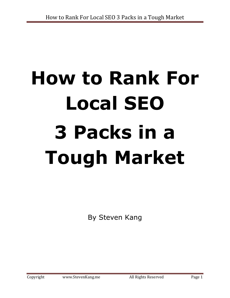# **How to Rank For Local SEO 3 Packs in a Tough Market**

By Steven Kang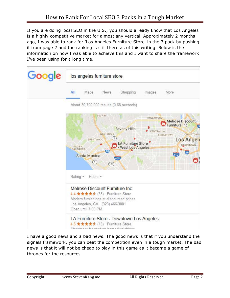If you are doing local SEO in the U.S., you should already know that Los Angeles is a highly competitive market for almost any vertical. Approximately 2 months ago, I was able to rank for 'Los Angeles Furniture Store' in the 3 pack by pushing it from page 2 and the ranking is still there as of this writing. Below is the information on how I was able to achieve this and I want to share the framework I've been using for a long time.



I have a good news and a bad news. The good news is that if you understand the signals framework, you can beat the competition even in a tough market. The bad news is that it will not be cheap to play in this game as it became a game of thrones for the resources.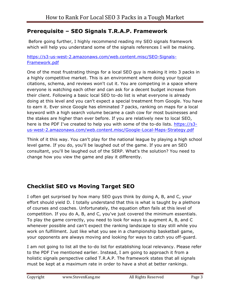## **Prerequisite – SEO Signals T.R.A.P. Framework**

 Before going further, I highly recommend reading my SEO signals framework which will help you understand some of the signals references I will be making.

#### [https://s3-us-west-2.amazonaws.com/web.content.misc/SEO-Signals-](https://s3-us-west-2.amazonaws.com/web.content.misc/SEO-Signals-Framework.pdf)[Framework.pdf](https://s3-us-west-2.amazonaws.com/web.content.misc/SEO-Signals-Framework.pdf)

One of the most frustrating things for a local SEO guy is making it into 3 packs in a highly competitive market. This is an environment where doing your typical citations, schema, and reviews won't cut it. You are competing in a space where everyone is watching each other and can ask for a decent budget increase from their client. Following a basic local SEO to-do list is what everyone is already doing at this level and you can't expect a special treatment from Google. You have to earn it. Ever since Google has eliminated 7 packs, ranking on maps for a local keyword with a high search volume became a cash cow for most businesses and the stakes are higher than ever before. If you are relatively new to local SEO, here is the PDF I've created to help you with some of the to-do lists. [https://s3](https://s3-us-west-2.amazonaws.com/web.content.misc/Google-Local-Maps-Strategy.pdf) [us-west-2.amazonaws.com/web.content.misc/Google-Local-Maps-Strategy.pdf](https://s3-us-west-2.amazonaws.com/web.content.misc/Google-Local-Maps-Strategy.pdf)

Think of it this way. You can't play for the national league by playing a high school level game. If you do, you'll be laughed out of the game. If you are an SEO consultant, you'll be laughed out of the SERP. What's the solution? You need to change how you view the game and play it differently.

## **Checklist SEO vs Moving Target SEO**

I often get surprised by how many SEO guys think by doing A, B, and C, your effort should yield D. I totally understand that this is what is taught by a plethora of courses and coaches. Unfortunately, the equation often fails at this level of competition. If you do A, B, and C, you've just covered the minimum essentials. To play the game correctly, you need to look for ways to augment A, B, and C whenever possible and can't expect the ranking landscape to stay still while you work on fulfillment. Just like what you see in a championship basketball game, your opponents are always moving and looking for ways to catch you off-guard.

I am not going to list all the to-do list for establishing local relevancy. Please refer to the PDF I've mentioned earlier. Instead, I am going to approach it from a holistic signals perspective called T.R.A.P. The framework states that all signals must be kept at a maximum rate in order to have a shot at better rankings.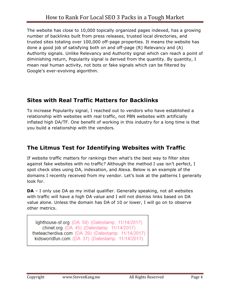The website has close to 10,000 topically organized pages indexed, has a growing number of backlinks built from press releases, trusted local directories, and trusted sites totaling over 100,000 off-page properties. It means the website has done a good job of satisfying both on and off-page (R) Relevancy and (A) Authority signals. Unlike Relevancy and Authority signal which can reach a point of diminishing return, Popularity signal is derived from the quantity. By quantity, I mean real human activity, not bots or fake signals which can be filtered by Google's ever-evolving algorithm.

### **Sites with Real Traffic Matters for Backlinks**

To increase Popularity signal, I reached out to vendors who have established a relationship with websites with real traffic, not PBN websites with artificially inflated high DA/TF. One benefit of working in this industry for a long time is that you build a relationship with the vendors.

# **The Litmus Test for Identifying Websites with Traffic**

If website traffic matters for rankings then what's the best way to filter sites against fake websites with no traffic? Although the method I use isn't perfect, I spot check sites using DA, indexation, and Alexa. Below is an example of the domains I recently received from my vendor. Let's look at the patterns I generally look for.

**DA** – I only use DA as my initial qualifier. Generally speaking, not all websites with traffic will have a high DA value and I will not dismiss links based on DA value alone. Unless the domain has DA of 10 or lower, I will go on to observe other metrics.

lighthouse-sf.org  $(DA 59)$  (Datestamp: 11/14/2017) chinet.org (DA 45) (Datestamp: 11/14/2017) theteacherdiva.com (DA 39) (Datestamp: 11/14/2017) kidsworldfun.com (DA 37) (Datestamp: 11/14/2017)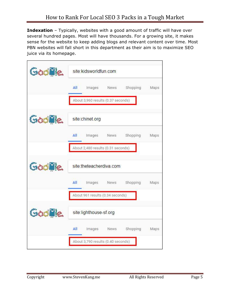**Indexation** – Typically, websites with a good amount of traffic will have over several hundred pages. Most will have thousands. For a growing site, it makes sense for the website to keep adding blogs and relevant content over time. Most PBN websites will fall short in this department as their aim is to maximize SEO juice via its homepage.

| Goodle | site:kidsworldfun.com                    |      |
|--------|------------------------------------------|------|
|        | Shopping<br>All<br>Images<br>News        | Maps |
|        | About 3,960 results (0.37 seconds)       |      |
| Goodle | site:chinet.org                          |      |
|        | Shopping<br>All<br>Images<br>News        | Maps |
|        | About 2,480 results (0.31 seconds)       |      |
| Goodle | site:theteacherdiva.com                  |      |
|        | Shopping<br>All<br>Images<br>News        | Maps |
|        | About 961 results (0.34 seconds)         |      |
| Goodle | site:lighthouse-sf.org                   |      |
|        | All<br>Shopping<br>Images<br><b>News</b> | Maps |
|        | About 3,790 results (0.40 seconds)       |      |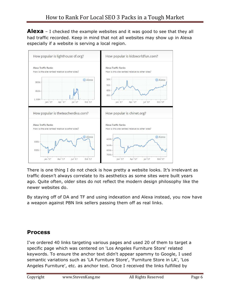**Alexa** – I checked the example websites and it was good to see that they all had traffic recorded. Keep in mind that not all websites may show up in Alexa especially if a website is serving a local region.



There is one thing I do not check is how pretty a website looks. It's irrelevant as traffic doesn't always correlate to its aesthetics as some sites were built years ago. Quite often, older sites do not reflect the modern design philosophy like the newer websites do.

By staying off of DA and TF and using indexation and Alexa instead, you now have a weapon against PBN link sellers passing them off as real links.

## **Process**

I've ordered 40 links targeting various pages and used 20 of them to target a specific page which was centered on 'Los Angeles Furniture Store' related keywords. To ensure the anchor text didn't appear spammy to Google, I used semantic variations such as 'LA Furniture Store', 'Furniture Store in LA', 'Los Angeles Furniture', etc. as anchor text. Once I received the links fulfilled by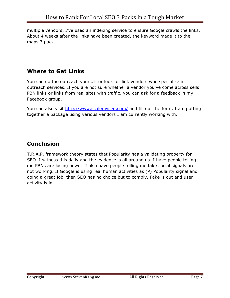multiple vendors, I've used an indexing service to ensure Google crawls the links. About 4 weeks after the links have been created, the keyword made it to the maps 3 pack.

## **Where to Get Links**

You can do the outreach yourself or look for link vendors who specialize in outreach services. If you are not sure whether a vendor you've come across sells PBN links or links from real sites with traffic, you can ask for a feedback in my Facebook group.

You can also visit<http://www.scalemyseo.com/>and fill out the form. I am putting together a package using various vendors I am currently working with.

## **Conclusion**

T.R.A.P. framework theory states that Popularity has a validating property for SEO. I witness this daily and the evidence is all around us. I have people telling me PBNs are losing power. I also have people telling me fake social signals are not working. If Google is using real human activities as (P) Popularity signal and doing a great job, then SEO has no choice but to comply. Fake is out and user activity is in.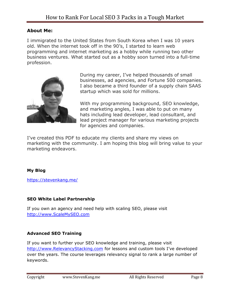#### **About Me:**

I immigrated to the United States from South Korea when I was 10 years old. When the internet took off in the 90's, I started to learn web programming and internet marketing as a hobby while running two other business ventures. What started out as a hobby soon turned into a full-time profession.



During my career, I've helped thousands of small businesses, ad agencies, and Fortune 500 companies. I also became a third founder of a supply chain SAAS startup which was sold for millions.

With my programming background, SEO knowledge, and marketing angles, I was able to put on many hats including lead developer, lead consultant, and lead project manager for various marketing projects for agencies and companies.

I've created this PDF to educate my clients and share my views on marketing with the community. I am hoping this blog will bring value to your marketing endeavors.

#### **My Blog**

<https://stevenkang.me/>

#### **SEO White Label Partnership**

If you own an agency and need help with scaling SEO, please visit [http://www.ScaleMySEO.com](http://www.scalemyseo.com/) 

#### **Advanced SEO Training**

If you want to further your SEO knowledge and training, please visit [http://www.RelevancyStacking.com](http://www.relevancystacking.com/) for lessons and custom tools I've developed over the years. The course leverages relevancy signal to rank a large number of keywords.